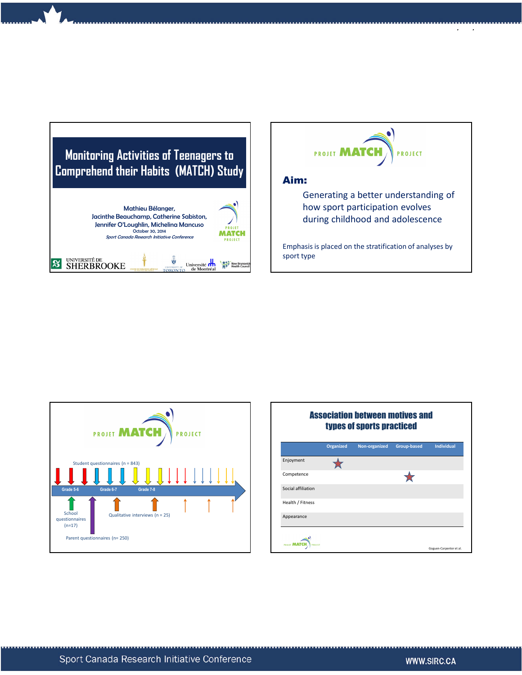



## Aim:

Generating a better understanding of how sport participation evolves during childhood and adolescence

10/21/2014

Emphasis is placed on the stratification of analyses by sport type



|                    |                  | <b>Association between motives and</b><br>types of sports practiced |                    |                         |
|--------------------|------------------|---------------------------------------------------------------------|--------------------|-------------------------|
|                    | <b>Organized</b> | Non-organized                                                       | <b>Group-based</b> | <b>Individual</b>       |
| Enjoyment          |                  |                                                                     |                    |                         |
| Competence         |                  |                                                                     |                    |                         |
| Social affiliation |                  |                                                                     |                    |                         |
| Health / Fitness   |                  |                                                                     |                    |                         |
| Appearance         |                  |                                                                     |                    |                         |
| PROJE              |                  |                                                                     |                    | Goguen-Carpenter et al. |

..<br>.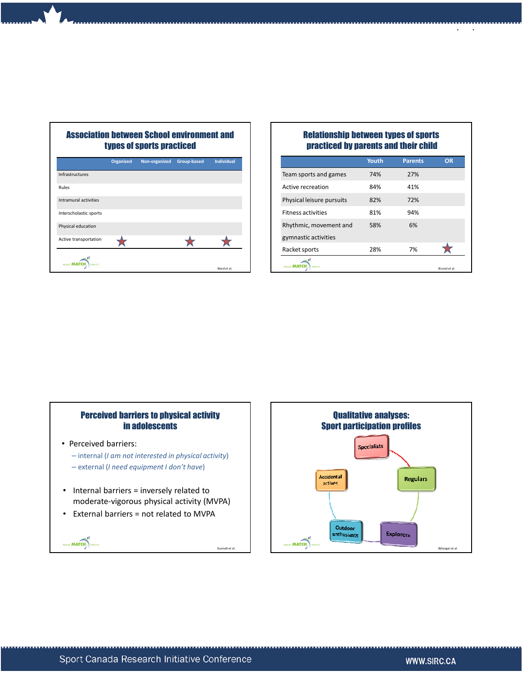

Association between School environment and

## Relationship between types of sports practiced by parents and their child

10/21/2014

|                           | <b>Youth</b> | <b>Parents</b> | OR                   |
|---------------------------|--------------|----------------|----------------------|
| Team sports and games     | 74%          | 27%            |                      |
| Active recreation         | 84%          | 41%            |                      |
| Physical leisure pursuits | 82%          | 72%            |                      |
| <b>Fitness activities</b> | 81%          | 94%            |                      |
| Rhythmic, movement and    | 58%          | 6%             |                      |
| gymnastic activities      |              |                |                      |
| Racket sports             | 28%          | 7%             |                      |
| <b>PROJECT</b>            |              |                | <b>Brunet et al.</b> |
|                           |              |                |                      |

## Perceived barriers to physical activity in adolescents

• Perceived barriers:

HOIT MATCH

- internal (I am not interested in physical activity) – external (I need equipment I don't have)
- Internal barriers = inversely related to moderate-vigorous physical activity (MVPA)

Gunnell et al.

• External barriers = not related to MVPA



2